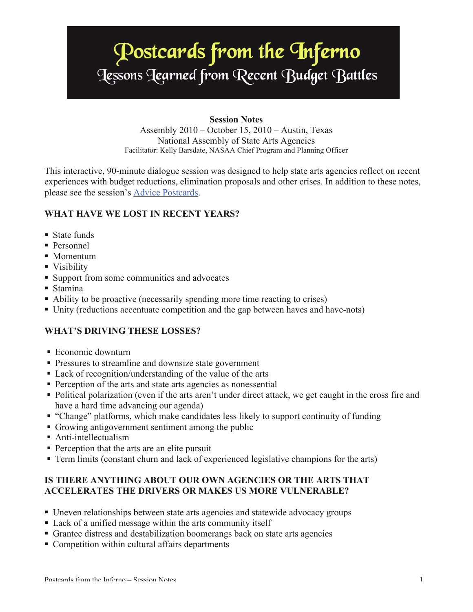# **Postcards from the Inferno**<br>Jessons Jearned from Recent Budget Battles

### **Session Notes**

Assembly 2010 – October 15, 2010 – Austin, Texas National Assembly of State Arts Agencies Facilitator: Kelly Barsdate, NASAA Chief Program and Planning Officer

This interactive, 90-minute dialogue session was designed to help state arts agencies reflect on recent experiences with budget reductions, elimination proposals and other crises. In addition to these notes, please see the session's [Advice Postcards.](http://www.nasaa-arts.org/Learning-Services/Past-Meetings/Assembly-2010-Proceedings/Advice-for-State-Arts-Agencies-Facing-Hard-Times.pdf)

# **WHAT HAVE WE LOST IN RECENT YEARS?**

- State funds
- Personnel
- Momentum
- Visibility
- Support from some communities and advocates
- Stamina
- ! Ability to be proactive (necessarily spending more time reacting to crises)
- ! Unity (reductions accentuate competition and the gap between haves and have-nots)

## **WHAT'S DRIVING THESE LOSSES?**

- Economic downturn
- ! Pressures to streamline and downsize state government
- ! Lack of recognition/understanding of the value of the arts
- ! Perception of the arts and state arts agencies as nonessential
- ! Political polarization (even if the arts aren't under direct attack, we get caught in the cross fire and have a hard time advancing our agenda)
- ! "Change" platforms, which make candidates less likely to support continuity of funding
- ! Growing antigovernment sentiment among the public
- Anti-intellectualism
- **Perception that the arts are an elite pursuit**
- ! Term limits (constant churn and lack of experienced legislative champions for the arts)

## **IS THERE ANYTHING ABOUT OUR OWN AGENCIES OR THE ARTS THAT ACCELERATES THE DRIVERS OR MAKES US MORE VULNERABLE?**

- ! Uneven relationships between state arts agencies and statewide advocacy groups
- ! Lack of a unified message within the arts community itself
- ! Grantee distress and destabilization boomerangs back on state arts agencies
- ! Competition within cultural affairs departments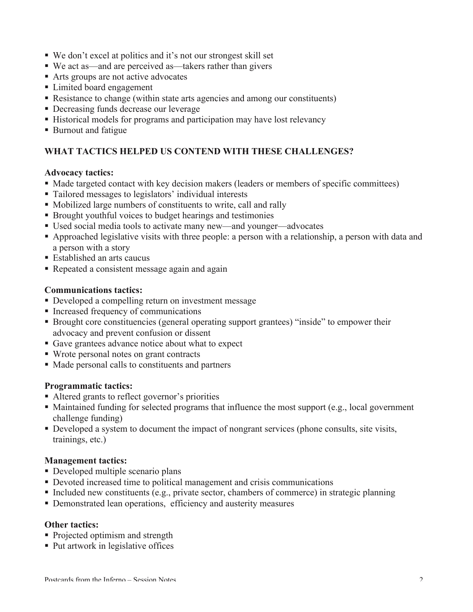- ! We don't excel at politics and it's not our strongest skill set
- ! We act as—and are perceived as—takers rather than givers
- Arts groups are not active advocates
- **Exercise Limited board engagement**
- ! Resistance to change (within state arts agencies and among our constituents)
- ! Decreasing funds decrease our leverage
- ! Historical models for programs and participation may have lost relevancy
- ! Burnout and fatigue

# **WHAT TACTICS HELPED US CONTEND WITH THESE CHALLENGES?**

#### **Advocacy tactics:**

- ! Made targeted contact with key decision makers (leaders or members of specific committees)
- ! Tailored messages to legislators' individual interests
- ! Mobilized large numbers of constituents to write, call and rally
- ! Brought youthful voices to budget hearings and testimonies
- ! Used social media tools to activate many new—and younger—advocates
- ! Approached legislative visits with three people: a person with a relationship, a person with data and a person with a story
- Established an arts caucus
- ! Repeated a consistent message again and again

## **Communications tactics:**

- ! Developed a compelling return on investment message
- ! Increased frequency of communications
- ! Brought core constituencies (general operating support grantees) "inside" to empower their advocacy and prevent confusion or dissent
- ! Gave grantees advance notice about what to expect
- ! Wrote personal notes on grant contracts
- ! Made personal calls to constituents and partners

#### **Programmatic tactics:**

- Altered grants to reflect governor's priorities
- ! Maintained funding for selected programs that influence the most support (e.g., local government challenge funding)
- ! Developed a system to document the impact of nongrant services (phone consults, site visits, trainings, etc.)

#### **Management tactics:**

- **Developed multiple scenario plans**
- ! Devoted increased time to political management and crisis communications
- ! Included new constituents (e.g., private sector, chambers of commerce) in strategic planning
- ! Demonstrated lean operations, efficiency and austerity measures

#### **Other tactics:**

- Projected optimism and strength
- Put artwork in legislative offices